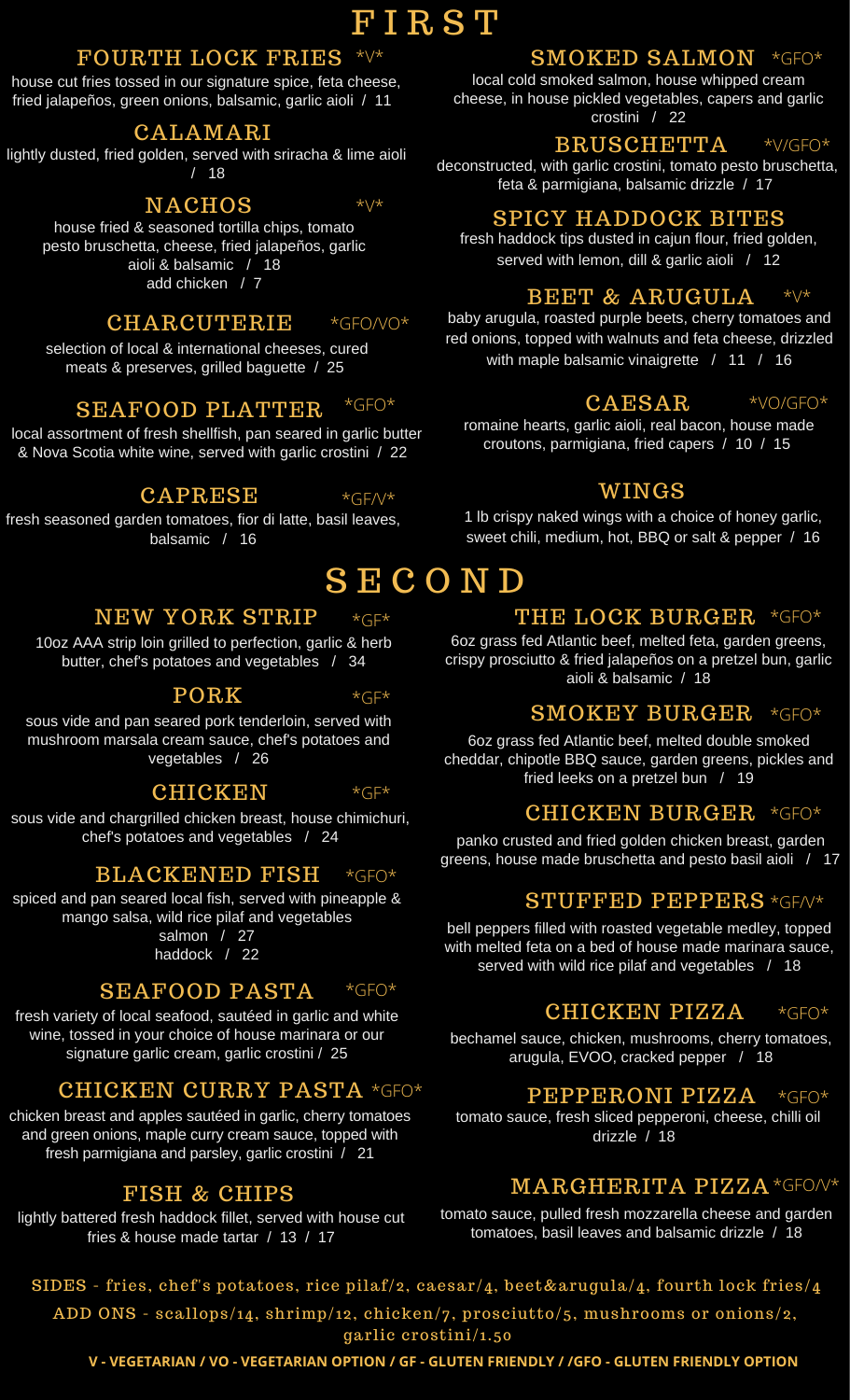## **FIRST**

### FOURTH LOCK FRIES \*V\*

house cut fries tossed in our signature spice, feta cheese, fried jalapeños, green onions, balsamic, garlic aioli / 11

### CALAMARI

lightly dusted, fried golden, served with sriracha & lime aioli / 18

### **NACHOS**

house fried & seasoned tortilla chips, tomato pesto bruschetta, cheese, fried jalapeños, garlic aioli & balsamic / 18 add chicken / 7

#### **CHARCUTERIE**  $*GFOAVO*$

selection of local & international cheeses, cured meats & preserves, grilled baguette / 25

### SEAFOOD PLATTER \*GFO\*

local assortment of fresh shellfish, pan seared in garlic butter & Nova Scotia white wine, served with garlic crostini / 22

### CAPRESE

 $*GF/V*$ 

 $\star \vee \star$ 

fresh seasoned garden tomatoes, fior di latte, basil leaves, balsamic / 16

# **SECOND**

### NEW YORK STRIP  $*(\exists F)^*$

10oz AAA strip loin grilled to perfection, garlic & herb butter, chef's potatoes and vegetables / 34

### PORK

 $*G$  $F*$ 

sous vide and pan seared pork tenderloin, served with mushroom marsala cream sauce, chef's potatoes and vegetables / 26

### **CHICKEN**  $*GF*$

sous vide and chargrilled chicken breast, house chimichuri, chef's potatoes and vegetables / 24

### BLACKENED FISH  $*GFO*$

spiced and pan seared local fish, served with pineapple & mango salsa, wild rice pilaf and vegetables salmon / 27

haddock / 22

### SEAFOOD PASTA  $*GFO*$

fresh variety of local seafood, sautéed in garlic and white wine, tossed in your choice of house marinara or our signature garlic cream, garlic crostini / 25

## CHICKEN CURRY PASTA \*GFO\*

chicken breast and apples sautéed in garlic, cherry tomatoes and green onions, maple curry cream sauce, topped with fresh parmigiana and parsley, garlic crostini / 21

## FISH & CHIPS

lightly battered fresh haddock fillet, served with house cut fries & house made tartar / 13 / 17

## $\mathbf S\mathbf M\mathbf O\mathbf K\mathbf E\mathbf D$   $\mathbf S\mathbf A\mathbf L\mathbf M\mathbf O\mathbf N$  \*GFO\*

local cold smoked salmon, house whipped cream cheese, in house pickled vegetables, capers and garlic crostini / 22

### BRUSCHETTA  $*V/GFO*$

deconstructed, with garlic crostini, tomato pesto bruschetta, feta & parmigiana, balsamic drizzle / 17

## SPICY HADDOCK BITES

fresh haddock tips dusted in cajun flour, fried golden, served with lemon, dill & garlic aioli / 12

### BEET & ARUGULA \*V\*

baby arugula, roasted purple beets, cherry tomatoes and red onions, topped with walnuts and feta cheese, drizzled with maple balsamic vinaigrette / 11 / 16

### CAESAR \*VO/GFO\*

romaine hearts, garlic aioli, real bacon, house made croutons, parmigiana, fried capers / 10 / 15

### WINGS

1 lb crispy naked wings with a choice of honey garlic, sweet chili, medium, hot, BBQ or salt & pepper / 16

# THE LOCK BURGER \*GFO\*

6oz grass fed Atlantic beef, melted feta, garden greens, crispy prosciutto & fried jalapeños on a pretzel bun, garlic aioli & balsamic / 18

## SMOKEY BURGER \*GFO\*

6oz grass fed Atlantic beef, melted double smoked cheddar, chipotle BBQ sauce, garden greens, pickles and fried leeks on a pretzel bun / 19

## CHICKEN BURGER \*GFO\*

panko crusted and fried golden chicken breast, garden greens, house made bruschetta and pesto basil aioli / 17

## $\bold{STUFFED \ PEPPERS}$  \*GF/V\*

bell peppers filled with roasted vegetable medley, topped with melted feta on a bed of house made marinara sauce, served with wild rice pilaf and vegetables / 18

### CHICKEN PIZZA  $*GFO*$

bechamel sauce, chicken, mushrooms, cherry tomatoes, arugula, EVOO, cracked pepper / 18

### PEPPERONI PIZZA  $*GFO*$

tomato sauce, fresh sliced pepperoni, cheese, chilli oil drizzle / 18

## $\mathbf{MARGHERITA}$   $\mathbf{PIZZA}$  \*GFO/V\*

tomato sauce, pulled fresh mozzarella cheese and garden tomatoes, basil leaves and balsamic drizzle / 18

SIDES - fries, chef's potatoes, rice pilaf/2, caesar/4, beet&arugula/4, fourth lock fries/4 ADD ONS - scallops/14, shrimp/12, chicken/7, prosciutto/5, mushrooms or onions/2, garlic crostini/1.50

V - VEGETARIAN / VO - VEGETARIAN OPTION / GF - GLUTEN FRIENDLY / /GFO - GLUTEN FRIENDLY OPTION